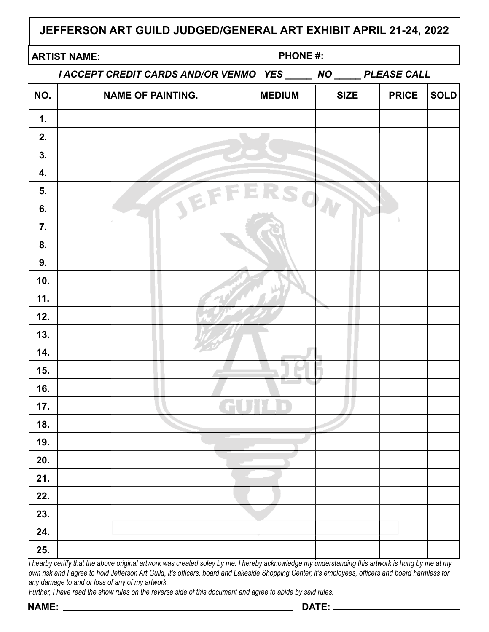# **JEFFERSON ART GUILD JUDGED/GENERAL ART EXHIBIT APRIL 21-24, 2022**

## **ARTIST NAME: PHONE #:**

*I ACCEPT CREDIT CARDS AND/OR VENMO YES \_\_\_\_\_ NO \_\_\_\_\_ PLEASE CALL*

| NO. | שותש<br><b>NAME OF PAINTING.</b> | <b>MEDIUM</b> | '''<br><b>SIZE</b> | <b>PRICE</b> | <b>SOLD</b> |
|-----|----------------------------------|---------------|--------------------|--------------|-------------|
| 1.  |                                  |               |                    |              |             |
|     |                                  |               |                    |              |             |
| 2.  |                                  |               |                    |              |             |
| 3.  |                                  |               |                    |              |             |
| 4.  |                                  |               |                    |              |             |
| 5.  |                                  |               |                    |              |             |
| 6.  |                                  |               |                    |              |             |
| 7.  |                                  |               |                    |              |             |
| 8.  |                                  |               |                    |              |             |
| 9.  |                                  |               |                    |              |             |
| 10. |                                  |               |                    |              |             |
| 11. |                                  |               |                    |              |             |
| 12. |                                  |               |                    |              |             |
| 13. |                                  |               |                    |              |             |
| 14. |                                  |               |                    |              |             |
| 15. |                                  |               |                    |              |             |
| 16. |                                  |               |                    |              |             |
| 17. | d                                |               |                    |              |             |
| 18. |                                  |               |                    |              |             |
| 19. |                                  |               |                    |              |             |
| 20. |                                  |               |                    |              |             |
| 21. |                                  |               |                    |              |             |
| 22. |                                  |               |                    |              |             |
| 23. |                                  |               |                    |              |             |
| 24. |                                  |               |                    |              |             |
| 25. |                                  |               |                    |              |             |

*I hearby certify that the above original artwork was created soley by me. I hereby acknowledge my understanding this artwork is hung by me at my own risk and I agree to hold Jefferson Art Guild, it's officers, board and Lakeside Shopping Center, it's employees, officers and board harmless for any damage to and or loss of any of my artwork.*

*Further, I have read the show rules on the reverse side of this document and agree to abide by said rules.*